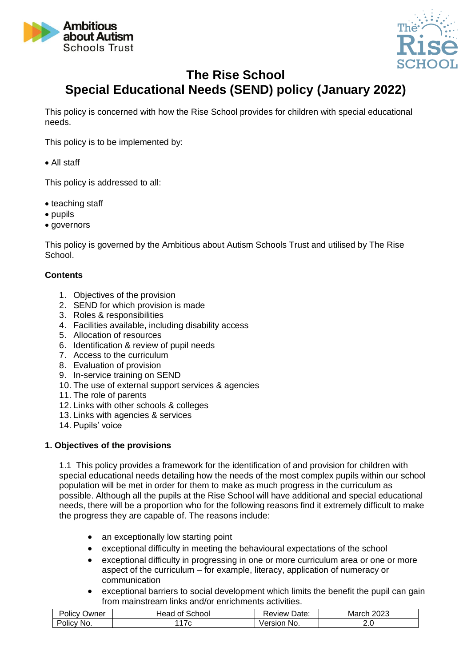



# **The Rise School Special Educational Needs (SEND) policy (January 2022)**

This policy is concerned with how the Rise School provides for children with special educational needs.

This policy is to be implemented by:

• All staff

This policy is addressed to all:

- teaching staff
- pupils
- governors

This policy is governed by the Ambitious about Autism Schools Trust and utilised by The Rise School.

## **Contents**

- 1. Objectives of the provision
- 2. SEND for which provision is made
- 3. Roles & responsibilities
- 4. Facilities available, including disability access
- 5. Allocation of resources
- 6. Identification & review of pupil needs
- 7. Access to the curriculum
- 8. Evaluation of provision
- 9. In-service training on SEND
- 10. The use of external support services & agencies
- 11. The role of parents
- 12. Links with other schools & colleges
- 13. Links with agencies & services
- 14. Pupils' voice

# **1. Objectives of the provisions**

1.1 This policy provides a framework for the identification of and provision for children with special educational needs detailing how the needs of the most complex pupils within our school population will be met in order for them to make as much progress in the curriculum as possible. Although all the pupils at the Rise School will have additional and special educational needs, there will be a proportion who for the following reasons find it extremely difficult to make the progress they are capable of. The reasons include:

- an exceptionally low starting point
- exceptional difficulty in meeting the behavioural expectations of the school
- exceptional difficulty in progressing in one or more curriculum area or one or more aspect of the curriculum – for example, literacy, application of numeracy or communication
- exceptional barriers to social development which limits the benefit the pupil can gain from mainstream links and/or enrichments activities.

| $\cdots$<br>-<br>wner<br>`CV.<br>אנ<br>JIIC' | $\sim$<br>ഛ<br>$\sim$<br>Οt<br>זר<br>NOOI<br>uedu. | -<br>Date:<br>eview | ററാ<br>----<br>IVI:<br>-uzu |
|----------------------------------------------|----------------------------------------------------|---------------------|-----------------------------|
| ം വില<br>NO.                                 |                                                    | - - -<br>NG.        | 2.v                         |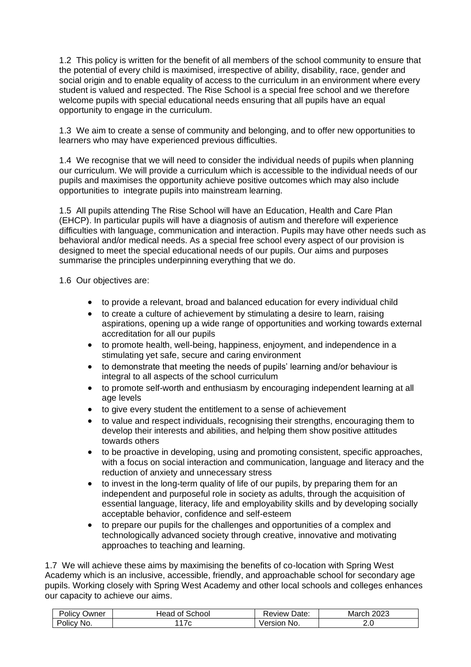1.2 This policy is written for the benefit of all members of the school community to ensure that the potential of every child is maximised, irrespective of ability, disability, race, gender and social origin and to enable equality of access to the curriculum in an environment where every student is valued and respected. The Rise School is a special free school and we therefore welcome pupils with special educational needs ensuring that all pupils have an equal opportunity to engage in the curriculum.

1.3 We aim to create a sense of community and belonging, and to offer new opportunities to learners who may have experienced previous difficulties.

1.4 We recognise that we will need to consider the individual needs of pupils when planning our curriculum. We will provide a curriculum which is accessible to the individual needs of our pupils and maximises the opportunity achieve positive outcomes which may also include opportunities to integrate pupils into mainstream learning.

1.5 All pupils attending The Rise School will have an Education, Health and Care Plan (EHCP). In particular pupils will have a diagnosis of autism and therefore will experience difficulties with language, communication and interaction. Pupils may have other needs such as behavioral and/or medical needs. As a special free school every aspect of our provision is designed to meet the special educational needs of our pupils. Our aims and purposes summarise the principles underpinning everything that we do.

1.6 Our objectives are:

- to provide a relevant, broad and balanced education for every individual child
- to create a culture of achievement by stimulating a desire to learn, raising aspirations, opening up a wide range of opportunities and working towards external accreditation for all our pupils
- to promote health, well-being, happiness, enjoyment, and independence in a stimulating yet safe, secure and caring environment
- to demonstrate that meeting the needs of pupils' learning and/or behaviour is integral to all aspects of the school curriculum
- to promote self-worth and enthusiasm by encouraging independent learning at all age levels
- to give every student the entitlement to a sense of achievement
- to value and respect individuals, recognising their strengths, encouraging them to develop their interests and abilities, and helping them show positive attitudes towards others
- to be proactive in developing, using and promoting consistent, specific approaches, with a focus on social interaction and communication, language and literacy and the reduction of anxiety and unnecessary stress
- to invest in the long-term quality of life of our pupils, by preparing them for an independent and purposeful role in society as adults, through the acquisition of essential language, literacy, life and employability skills and by developing socially acceptable behavior, confidence and self-esteem
- to prepare our pupils for the challenges and opportunities of a complex and technologically advanced society through creative, innovative and motivating approaches to teaching and learning.

1.7 We will achieve these aims by maximising the benefits of co-location with Spring West Academy which is an inclusive, accessible, friendly, and approachable school for secondary age pupils. Working closely with Spring West Academy and other local schools and colleges enhances our capacity to achieve our aims.

| -<br>. .<br>)wner<br><b>JIICV</b> | $\sim$<br>school<br>Οl<br>. .<br>теас | Date:<br>∴eview ' | റററ<br>いいへい<br>Mai<br>u<br>∠∪∠ |
|-----------------------------------|---------------------------------------|-------------------|--------------------------------|
| N0.<br>'Olic\                     | ີ                                     | ∍rsı∩n<br>No.     | <u>. . u</u>                   |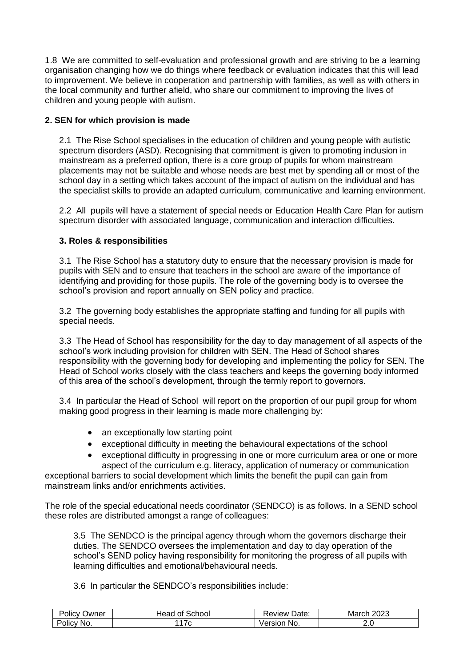1.8 We are committed to self-evaluation and professional growth and are striving to be a learning organisation changing how we do things where feedback or evaluation indicates that this will lead to improvement. We believe in cooperation and partnership with families, as well as with others in the local community and further afield, who share our commitment to improving the lives of children and young people with autism.

## **2. SEN for which provision is made**

2.1 The Rise School specialises in the education of children and young people with autistic spectrum disorders (ASD). Recognising that commitment is given to promoting inclusion in mainstream as a preferred option, there is a core group of pupils for whom mainstream placements may not be suitable and whose needs are best met by spending all or most of the school day in a setting which takes account of the impact of autism on the individual and has the specialist skills to provide an adapted curriculum, communicative and learning environment.

2.2 All pupils will have a statement of special needs or Education Health Care Plan for autism spectrum disorder with associated language, communication and interaction difficulties.

## **3. Roles & responsibilities**

3.1 The Rise School has a statutory duty to ensure that the necessary provision is made for pupils with SEN and to ensure that teachers in the school are aware of the importance of identifying and providing for those pupils. The role of the governing body is to oversee the school's provision and report annually on SEN policy and practice.

3.2 The governing body establishes the appropriate staffing and funding for all pupils with special needs.

3.3 The Head of School has responsibility for the day to day management of all aspects of the school's work including provision for children with SEN. The Head of School shares responsibility with the governing body for developing and implementing the policy for SEN. The Head of School works closely with the class teachers and keeps the governing body informed of this area of the school's development, through the termly report to governors.

3.4 In particular the Head of School will report on the proportion of our pupil group for whom making good progress in their learning is made more challenging by:

- an exceptionally low starting point
- exceptional difficulty in meeting the behavioural expectations of the school
- exceptional difficulty in progressing in one or more curriculum area or one or more aspect of the curriculum e.g. literacy, application of numeracy or communication

exceptional barriers to social development which limits the benefit the pupil can gain from mainstream links and/or enrichments activities.

The role of the special educational needs coordinator (SENDCO) is as follows. In a SEND school these roles are distributed amongst a range of colleagues:

3.5 The SENDCO is the principal agency through whom the governors discharge their duties. The SENDCO oversees the implementation and day to day operation of the school's SEND policy having responsibility for monitoring the progress of all pupils with learning difficulties and emotional/behavioural needs.

3.6 In particular the SENDCO's responsibilities include:

| $\sim$ $\sim$<br>Jwner<br>OIICY | School<br>0t<br>⊣ead | Date:<br>eview. | nnnn<br>mar<br>∪∠ാ |
|---------------------------------|----------------------|-----------------|--------------------|
| NO.<br>υικ                      |                      | NO.             | 2.J                |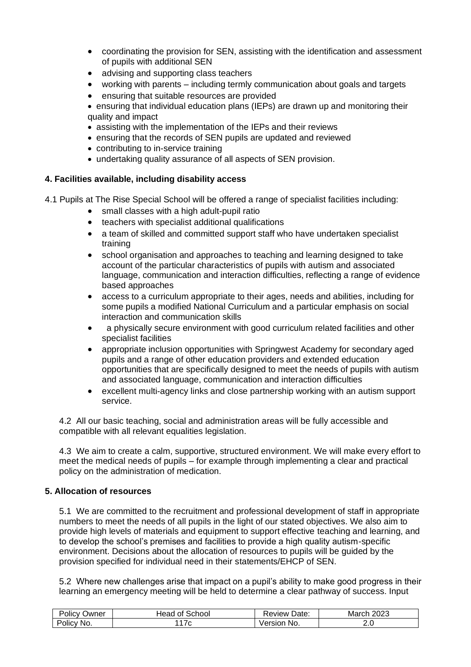- coordinating the provision for SEN, assisting with the identification and assessment of pupils with additional SEN
- advising and supporting class teachers
- working with parents including termly communication about goals and targets
- ensuring that suitable resources are provided
- ensuring that individual education plans (IEPs) are drawn up and monitoring their quality and impact
- assisting with the implementation of the IEPs and their reviews
- ensuring that the records of SEN pupils are updated and reviewed
- contributing to in-service training
- undertaking quality assurance of all aspects of SEN provision.

#### **4. Facilities available, including disability access**

- 4.1 Pupils at The Rise Special School will be offered a range of specialist facilities including:
	- small classes with a high adult-pupil ratio
	- teachers with specialist additional qualifications
	- a team of skilled and committed support staff who have undertaken specialist training
	- school organisation and approaches to teaching and learning designed to take account of the particular characteristics of pupils with autism and associated language, communication and interaction difficulties, reflecting a range of evidence based approaches
	- access to a curriculum appropriate to their ages, needs and abilities, including for some pupils a modified National Curriculum and a particular emphasis on social interaction and communication skills
	- a physically secure environment with good curriculum related facilities and other specialist facilities
	- appropriate inclusion opportunities with Springwest Academy for secondary aged pupils and a range of other education providers and extended education opportunities that are specifically designed to meet the needs of pupils with autism and associated language, communication and interaction difficulties
	- excellent multi-agency links and close partnership working with an autism support service.

4.2 All our basic teaching, social and administration areas will be fully accessible and compatible with all relevant equalities legislation.

4.3 We aim to create a calm, supportive, structured environment. We will make every effort to meet the medical needs of pupils – for example through implementing a clear and practical policy on the administration of medication.

#### **5. Allocation of resources**

5.1 We are committed to the recruitment and professional development of staff in appropriate numbers to meet the needs of all pupils in the light of our stated objectives. We also aim to provide high levels of materials and equipment to support effective teaching and learning, and to develop the school's premises and facilities to provide a high quality autism-specific environment. Decisions about the allocation of resources to pupils will be guided by the provision specified for individual need in their statements/EHCP of SEN.

5.2 Where new challenges arise that impact on a pupil's ability to make good progress in their learning an emergency meeting will be held to determine a clear pathway of success. Input

| שwner<br>Olicy    | -<br>Head<br>School<br>Οt | Date:<br>…eview ' | nnnn<br>⊣Mar∕<br>2∪∠3 |
|-------------------|---------------------------|-------------------|-----------------------|
| -<br>No.<br>JIIC' | ີ                         | No.<br>10Y        | ے.                    |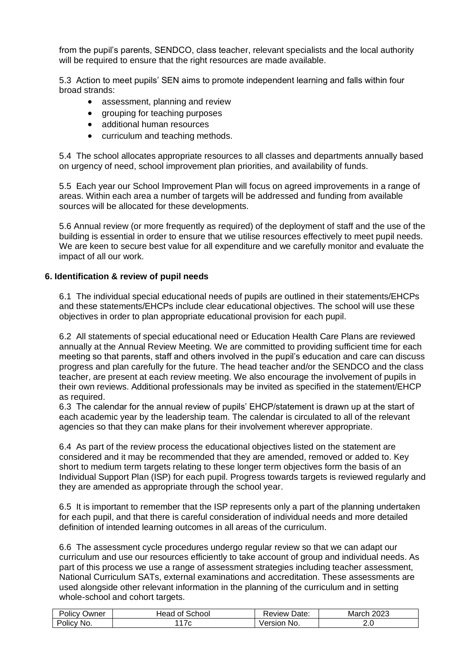from the pupil's parents, SENDCO, class teacher, relevant specialists and the local authority will be required to ensure that the right resources are made available.

5.3 Action to meet pupils' SEN aims to promote independent learning and falls within four broad strands:

- assessment, planning and review
- grouping for teaching purposes
- additional human resources
- curriculum and teaching methods.

5.4 The school allocates appropriate resources to all classes and departments annually based on urgency of need, school improvement plan priorities, and availability of funds.

5.5 Each year our School Improvement Plan will focus on agreed improvements in a range of areas. Within each area a number of targets will be addressed and funding from available sources will be allocated for these developments.

5.6 Annual review (or more frequently as required) of the deployment of staff and the use of the building is essential in order to ensure that we utilise resources effectively to meet pupil needs. We are keen to secure best value for all expenditure and we carefully monitor and evaluate the impact of all our work.

#### **6. Identification & review of pupil needs**

6.1 The individual special educational needs of pupils are outlined in their statements/EHCPs and these statements/EHCPs include clear educational objectives. The school will use these objectives in order to plan appropriate educational provision for each pupil.

6.2 All statements of special educational need or Education Health Care Plans are reviewed annually at the Annual Review Meeting. We are committed to providing sufficient time for each meeting so that parents, staff and others involved in the pupil's education and care can discuss progress and plan carefully for the future. The head teacher and/or the SENDCO and the class teacher, are present at each review meeting. We also encourage the involvement of pupils in their own reviews. Additional professionals may be invited as specified in the statement/EHCP as required.

6.3 The calendar for the annual review of pupils' EHCP/statement is drawn up at the start of each academic year by the leadership team. The calendar is circulated to all of the relevant agencies so that they can make plans for their involvement wherever appropriate.

6.4 As part of the review process the educational objectives listed on the statement are considered and it may be recommended that they are amended, removed or added to. Key short to medium term targets relating to these longer term objectives form the basis of an Individual Support Plan (ISP) for each pupil. Progress towards targets is reviewed regularly and they are amended as appropriate through the school year.

6.5 It is important to remember that the ISP represents only a part of the planning undertaken for each pupil, and that there is careful consideration of individual needs and more detailed definition of intended learning outcomes in all areas of the curriculum.

6.6 The assessment cycle procedures undergo regular review so that we can adapt our curriculum and use our resources efficiently to take account of group and individual needs. As part of this process we use a range of assessment strategies including teacher assessment, National Curriculum SATs, external examinations and accreditation. These assessments are used alongside other relevant information in the planning of the curriculum and in setting whole-school and cohort targets.

| . .<br>-<br>Policy<br><b>Jwner</b> | School<br>⊣ead<br>Οt | Date:<br>Review | າ∩າາ<br>March<br>ZUZJ |
|------------------------------------|----------------------|-----------------|-----------------------|
| Policy i                           | $\sqrt{2}$           | No.             | 2.U                   |
| No.                                | ں ہ                  | Version         |                       |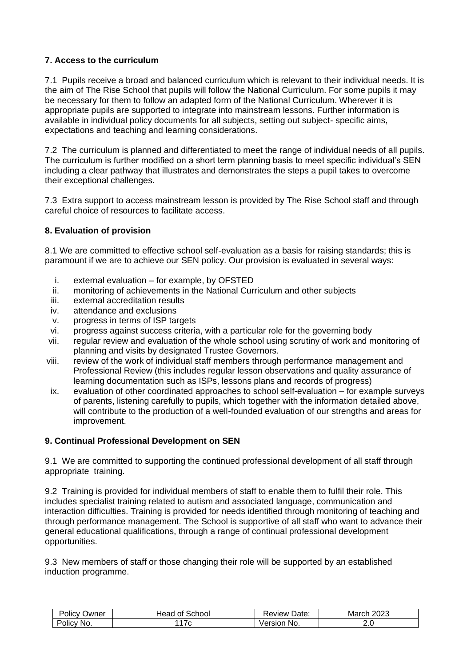## **7. Access to the curriculum**

7.1 Pupils receive a broad and balanced curriculum which is relevant to their individual needs. It is the aim of The Rise School that pupils will follow the National Curriculum. For some pupils it may be necessary for them to follow an adapted form of the National Curriculum. Wherever it is appropriate pupils are supported to integrate into mainstream lessons. Further information is available in individual policy documents for all subjects, setting out subject- specific aims, expectations and teaching and learning considerations.

7.2 The curriculum is planned and differentiated to meet the range of individual needs of all pupils. The curriculum is further modified on a short term planning basis to meet specific individual's SEN including a clear pathway that illustrates and demonstrates the steps a pupil takes to overcome their exceptional challenges.

7.3 Extra support to access mainstream lesson is provided by The Rise School staff and through careful choice of resources to facilitate access.

# **8. Evaluation of provision**

8.1 We are committed to effective school self-evaluation as a basis for raising standards; this is paramount if we are to achieve our SEN policy. Our provision is evaluated in several ways:

- i. external evaluation for example, by OFSTED
- ii. monitoring of achievements in the National Curriculum and other subjects
- iii. external accreditation results
- iv. attendance and exclusions
- v. progress in terms of ISP targets
- vi. progress against success criteria, with a particular role for the governing body
- vii. regular review and evaluation of the whole school using scrutiny of work and monitoring of planning and visits by designated Trustee Governors.
- viii. review of the work of individual staff members through performance management and Professional Review (this includes regular lesson observations and quality assurance of learning documentation such as ISPs, lessons plans and records of progress)
- ix. evaluation of other coordinated approaches to school self-evaluation for example surveys of parents, listening carefully to pupils, which together with the information detailed above, will contribute to the production of a well-founded evaluation of our strengths and areas for improvement.

#### **9. Continual Professional Development on SEN**

9.1 We are committed to supporting the continued professional development of all staff through appropriate training.

9.2 Training is provided for individual members of staff to enable them to fulfil their role. This includes specialist training related to autism and associated language, communication and interaction difficulties. Training is provided for needs identified through monitoring of teaching and through performance management. The School is supportive of all staff who want to advance their general educational qualifications, through a range of continual professional development opportunities.

9.3 New members of staff or those changing their role will be supported by an established induction programme.

| - -<br>Jwner<br>OIICV | school<br>неас<br>Οľ | Date:<br>∴eview ' | ממ∩מ<br>Mar<br>∪∠ാ |
|-----------------------|----------------------|-------------------|--------------------|
| -<br>NG.<br>OIIC'     | ັ                    | Version<br>No.    | 2.J                |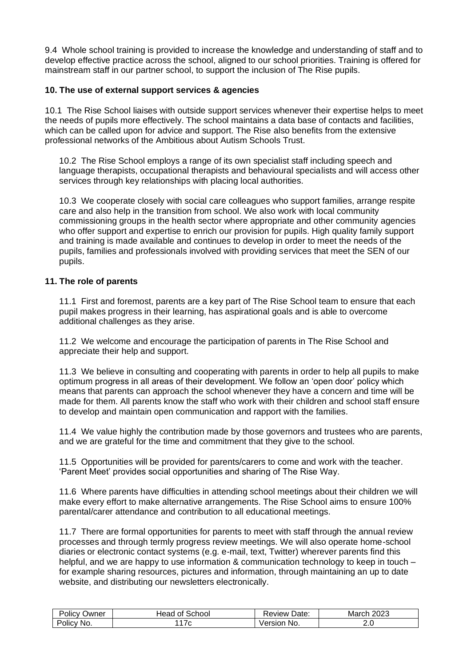9.4 Whole school training is provided to increase the knowledge and understanding of staff and to develop effective practice across the school, aligned to our school priorities. Training is offered for mainstream staff in our partner school, to support the inclusion of The Rise pupils.

## **10. The use of external support services & agencies**

10.1 The Rise School liaises with outside support services whenever their expertise helps to meet the needs of pupils more effectively. The school maintains a data base of contacts and facilities, which can be called upon for advice and support. The Rise also benefits from the extensive professional networks of the Ambitious about Autism Schools Trust.

10.2 The Rise School employs a range of its own specialist staff including speech and language therapists, occupational therapists and behavioural specialists and will access other services through key relationships with placing local authorities.

10.3 We cooperate closely with social care colleagues who support families, arrange respite care and also help in the transition from school. We also work with local community commissioning groups in the health sector where appropriate and other community agencies who offer support and expertise to enrich our provision for pupils. High quality family support and training is made available and continues to develop in order to meet the needs of the pupils, families and professionals involved with providing services that meet the SEN of our pupils.

#### **11. The role of parents**

11.1 First and foremost, parents are a key part of The Rise School team to ensure that each pupil makes progress in their learning, has aspirational goals and is able to overcome additional challenges as they arise.

11.2 We welcome and encourage the participation of parents in The Rise School and appreciate their help and support.

11.3 We believe in consulting and cooperating with parents in order to help all pupils to make optimum progress in all areas of their development. We follow an 'open door' policy which means that parents can approach the school whenever they have a concern and time will be made for them. All parents know the staff who work with their children and school staff ensure to develop and maintain open communication and rapport with the families.

11.4 We value highly the contribution made by those governors and trustees who are parents, and we are grateful for the time and commitment that they give to the school.

11.5 Opportunities will be provided for parents/carers to come and work with the teacher. 'Parent Meet' provides social opportunities and sharing of The Rise Way.

11.6 Where parents have difficulties in attending school meetings about their children we will make every effort to make alternative arrangements. The Rise School aims to ensure 100% parental/carer attendance and contribution to all educational meetings.

11.7 There are formal opportunities for parents to meet with staff through the annual review processes and through termly progress review meetings. We will also operate home-school diaries or electronic contact systems (e.g. e-mail, text, Twitter) wherever parents find this helpful, and we are happy to use information & communication technology to keep in touch – for example sharing resources, pictures and information, through maintaining an up to date website, and distributing our newsletters electronically.

| .<br>Jwner<br>olicy' | <b>School</b><br>tead<br>0t | Date:<br>⊀eview    | 0000<br><u>" – " – .</u><br><b>March</b><br>∠∪∠ാ |
|----------------------|-----------------------------|--------------------|--------------------------------------------------|
| -<br>No.<br>Olicy    | . . <u>.</u>                | ersior<br>NO.<br>আ | 2.U                                              |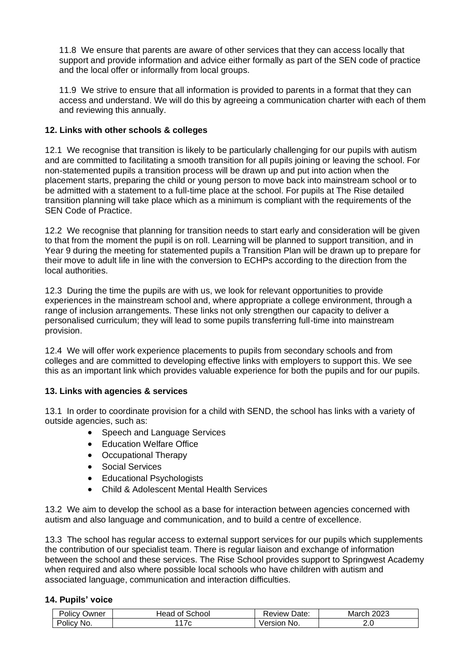11.8 We ensure that parents are aware of other services that they can access locally that support and provide information and advice either formally as part of the SEN code of practice and the local offer or informally from local groups.

11.9 We strive to ensure that all information is provided to parents in a format that they can access and understand. We will do this by agreeing a communication charter with each of them and reviewing this annually.

## **12. Links with other schools & colleges**

12.1 We recognise that transition is likely to be particularly challenging for our pupils with autism and are committed to facilitating a smooth transition for all pupils joining or leaving the school. For non-statemented pupils a transition process will be drawn up and put into action when the placement starts, preparing the child or young person to move back into mainstream school or to be admitted with a statement to a full-time place at the school. For pupils at The Rise detailed transition planning will take place which as a minimum is compliant with the requirements of the SEN Code of Practice.

12.2 We recognise that planning for transition needs to start early and consideration will be given to that from the moment the pupil is on roll. Learning will be planned to support transition, and in Year 9 during the meeting for statemented pupils a Transition Plan will be drawn up to prepare for their move to adult life in line with the conversion to ECHPs according to the direction from the local authorities.

12.3 During the time the pupils are with us, we look for relevant opportunities to provide experiences in the mainstream school and, where appropriate a college environment, through a range of inclusion arrangements. These links not only strengthen our capacity to deliver a personalised curriculum; they will lead to some pupils transferring full-time into mainstream provision.

12.4 We will offer work experience placements to pupils from secondary schools and from colleges and are committed to developing effective links with employers to support this. We see this as an important link which provides valuable experience for both the pupils and for our pupils.

# **13. Links with agencies & services**

13.1 In order to coordinate provision for a child with SEND, the school has links with a variety of outside agencies, such as:

- Speech and Language Services
- Education Welfare Office
- Occupational Therapy
- Social Services
- Educational Psychologists
- Child & Adolescent Mental Health Services

13.2 We aim to develop the school as a base for interaction between agencies concerned with autism and also language and communication, and to build a centre of excellence.

13.3 The school has regular access to external support services for our pupils which supplements the contribution of our specialist team. There is regular liaison and exchange of information between the school and these services. The Rise School provides support to Springwest Academy when required and also where possible local schools who have children with autism and associated language, communication and interaction difficulties.

#### **14. Pupils' voice**

| -<br>$\cdots$<br>Policy<br>⊃wner | $\sim$<br>Head<br>School<br>0t | -<br>Date:<br>eview: | າ∩າາ<br>へいへい<br>Marcr<br>∠∪∠ |
|----------------------------------|--------------------------------|----------------------|------------------------------|
| 'No.<br>olicy                    |                                | /ersior<br>- No.     | ـ .                          |